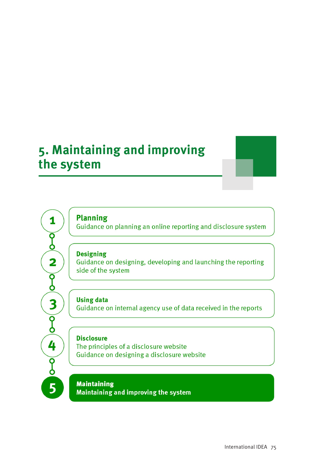# 5. Maintaining and improving the system

**Planning** 

1

 $\overline{\S}$ 

 $\overline{\mathbf{2}}$ 

 $\overline{\S}$ 

 $\overline{\mathbf{3}}$ 

 $\overline{\mathsf{g}}$ 

4

 $\overline{\mathsf{g}}$ 

5

Guidance on planning an online reporting and disclosure system

#### **Designing**

Guidance on designing, developing and launching the reporting side of the system

**Using data** Guidance on internal agency use of data received in the reports

### **Disclosure**

The principles of a disclosure website Guidance on designing a disclosure website

**Maintaining** Maintaining and improving the system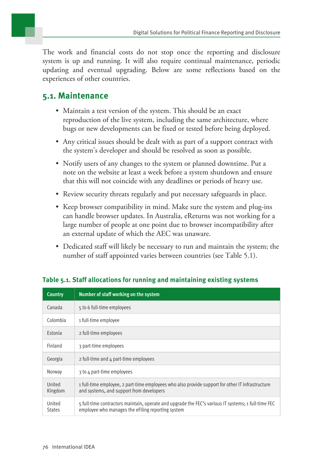The work and financial costs do not stop once the reporting and disclosure system is up and running. It will also require continual maintenance, periodic updating and eventual upgrading. Below are some reflections based on the experiences of other countries.

### **5.1. Maintenance**

- Maintain a test version of the system. This should be an exact reproduction of the live system, including the same architecture, where bugs or new developments can be fixed or tested before being deployed.
- Any critical issues should be dealt with as part of a support contract with the system's developer and should be resolved as soon as possible.
- Notify users of any changes to the system or planned downtime. Put a note on the website at least a week before a system shutdown and ensure that this will not coincide with any deadlines or periods of heavy use.
- Review security threats regularly and put necessary safeguards in place.
- Keep browser compatibility in mind. Make sure the system and plug-ins can handle browser updates. In Australia, eReturns was not working for a large number of people at one point due to browser incompatibility after an external update of which the AEC was unaware.
- Dedicated staff will likely be necessary to run and maintain the system; the number of staff appointed varies between countries (see Table 5.1).

| <b>Country</b>          | Number of staff working on the system                                                                                                                    |
|-------------------------|----------------------------------------------------------------------------------------------------------------------------------------------------------|
| Canada                  | 5 to 6 full-time employees                                                                                                                               |
| Colombia                | 1 full-time employee                                                                                                                                     |
| Estonia                 | 2 full-time employees                                                                                                                                    |
| Finland                 | 3 part-time employees                                                                                                                                    |
| Georgia                 | 2 full-time and 4 part-time employees                                                                                                                    |
| Norway                  | 3 to 4 part-time employees                                                                                                                               |
| United<br>Kingdom       | 1 full-time employee, 2 part-time employees who also provide support for other IT infrastructure<br>and systems, and support from developers             |
| United<br><b>States</b> | 5 full-time contractors maintain, operate and upgrade the FEC's various IT systems; 1 full-time FEC<br>employee who manages the eFiling reporting system |

### **Table 5.1. Staff allocations for running and maintaining existing systems**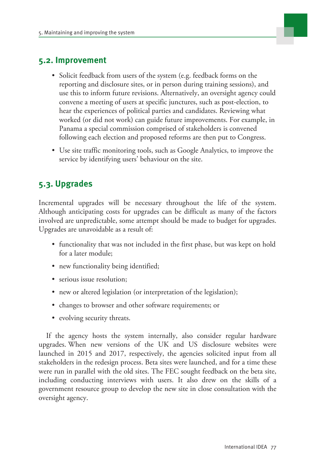

## **5.2. Improvement**

- Solicit feedback from users of the system (e.g. feedback forms on the reporting and disclosure sites, or in person during training sessions), and use this to inform future revisions. Alternatively, an oversight agency could convene a meeting of users at specific junctures, such as post-election, to hear the experiences of political parties and candidates. Reviewing what worked (or did not work) can guide future improvements. For example, in Panama a special commission comprised of stakeholders is convened following each election and proposed reforms are then put to Congress.
- Use site traffic monitoring tools, such as Google Analytics, to improve the service by identifying users' behaviour on the site.

# **5.3. Upgrades**

Incremental upgrades will be necessary throughout the life of the system. Although anticipating costs for upgrades can be difficult as many of the factors involved are unpredictable, some attempt should be made to budget for upgrades. Upgrades are unavoidable as a result of:

- functionality that was not included in the first phase, but was kept on hold for a later module;
- new functionality being identified;
- serious issue resolution:
- new or altered legislation (or interpretation of the legislation);
- changes to browser and other software requirements; or
- evolving security threats.

If the agency hosts the system internally, also consider regular hardware upgrades. When new versions of the UK and US disclosure websites were launched in 2015 and 2017, respectively, the agencies solicited input from all stakeholders in the redesign process. Beta sites were launched, and for a time these were run in parallel with the old sites. The FEC sought feedback on the beta site, including conducting interviews with users. It also drew on the skills of a government resource group to develop the new site in close consultation with the oversight agency.